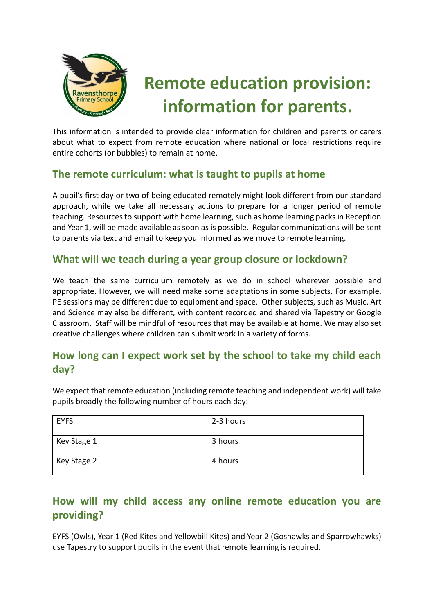

# **Remote education provision: information for parents.**

This information is intended to provide clear information for children and parents or carers about what to expect from remote education where national or local restrictions require entire cohorts (or bubbles) to remain at home.

## **The remote curriculum: what is taught to pupils at home**

A pupil's first day or two of being educated remotely might look different from our standard approach, while we take all necessary actions to prepare for a longer period of remote teaching. Resources to support with home learning, such as home learning packs in Reception and Year 1, will be made available as soon as is possible. Regular communications will be sent to parents via text and email to keep you informed as we move to remote learning.

## **What will we teach during a year group closure or lockdown?**

We teach the same curriculum remotely as we do in school wherever possible and appropriate. However, we will need make some adaptations in some subjects. For example, PE sessions may be different due to equipment and space. Other subjects, such as Music, Art and Science may also be different, with content recorded and shared via Tapestry or Google Classroom. Staff will be mindful of resources that may be available at home. We may also set creative challenges where children can submit work in a variety of forms.

## **How long can I expect work set by the school to take my child each day?**

We expect that remote education (including remote teaching and independent work) will take pupils broadly the following number of hours each day:

| <b>EYFS</b> | 2-3 hours |
|-------------|-----------|
| Key Stage 1 | 3 hours   |
| Key Stage 2 | 4 hours   |

# **How will my child access any online remote education you are providing?**

EYFS (Owls), Year 1 (Red Kites and Yellowbill Kites) and Year 2 (Goshawks and Sparrowhawks) use Tapestry to support pupils in the event that remote learning is required.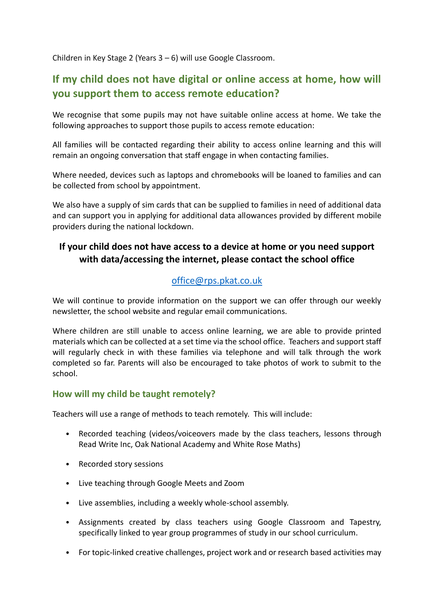Children in Key Stage 2 (Years 3 – 6) will use Google Classroom.

# **If my child does not have digital or online access at home, how will you support them to access remote education?**

We recognise that some pupils may not have suitable online access at home. We take the following approaches to support those pupils to access remote education:

All families will be contacted regarding their ability to access online learning and this will remain an ongoing conversation that staff engage in when contacting families.

Where needed, devices such as laptops and chromebooks will be loaned to families and can be collected from school by appointment.

We also have a supply of sim cards that can be supplied to families in need of additional data and can support you in applying for additional data allowances provided by different mobile providers during the national lockdown.

## **If your child does not have access to a device at home or you need support with data/accessing the internet, please contact the school office**

## [office@rps.pkat.co.uk](mailto:office@rps.pkat.co.uk)

We will continue to provide information on the support we can offer through our weekly newsletter, the school website and regular email communications.

Where children are still unable to access online learning, we are able to provide printed materials which can be collected at a set time via the school office. Teachers and support staff will regularly check in with these families via telephone and will talk through the work completed so far. Parents will also be encouraged to take photos of work to submit to the school.

#### **How will my child be taught remotely?**

Teachers will use a range of methods to teach remotely. This will include:

- Recorded teaching (videos/voiceovers made by the class teachers, lessons through Read Write Inc, Oak National Academy and White Rose Maths)
- Recorded story sessions
- Live teaching through Google Meets and Zoom
- Live assemblies, including a weekly whole-school assembly.
- Assignments created by class teachers using Google Classroom and Tapestry, specifically linked to year group programmes of study in our school curriculum.
- For topic-linked creative challenges, project work and or research based activities may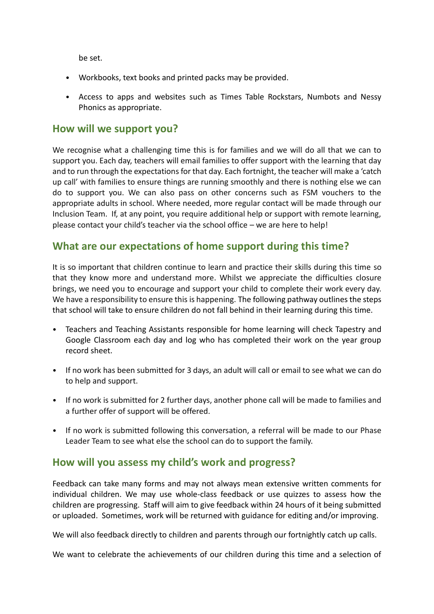be set.

- Workbooks, text books and printed packs may be provided.
- Access to apps and websites such as Times Table Rockstars, Numbots and Nessy Phonics as appropriate.

#### **How will we support you?**

We recognise what a challenging time this is for families and we will do all that we can to support you. Each day, teachers will email families to offer support with the learning that day and to run through the expectations for that day. Each fortnight, the teacher will make a 'catch up call' with families to ensure things are running smoothly and there is nothing else we can do to support you. We can also pass on other concerns such as FSM vouchers to the appropriate adults in school. Where needed, more regular contact will be made through our Inclusion Team. If, at any point, you require additional help or support with remote learning, please contact your child's teacher via the school office – we are here to help!

## **What are our expectations of home support during this time?**

It is so important that children continue to learn and practice their skills during this time so that they know more and understand more. Whilst we appreciate the difficulties closure brings, we need you to encourage and support your child to complete their work every day. We have a responsibility to ensure this is happening. The following pathway outlines the steps that school will take to ensure children do not fall behind in their learning during this time.

- Teachers and Teaching Assistants responsible for home learning will check Tapestry and Google Classroom each day and log who has completed their work on the year group record sheet.
- If no work has been submitted for 3 days, an adult will call or email to see what we can do to help and support.
- If no work is submitted for 2 further days, another phone call will be made to families and a further offer of support will be offered.
- If no work is submitted following this conversation, a referral will be made to our Phase Leader Team to see what else the school can do to support the family.

#### **How will you assess my child's work and progress?**

Feedback can take many forms and may not always mean extensive written comments for individual children. We may use whole-class feedback or use quizzes to assess how the children are progressing. Staff will aim to give feedback within 24 hours of it being submitted or uploaded. Sometimes, work will be returned with guidance for editing and/or improving.

We will also feedback directly to children and parents through our fortnightly catch up calls.

We want to celebrate the achievements of our children during this time and a selection of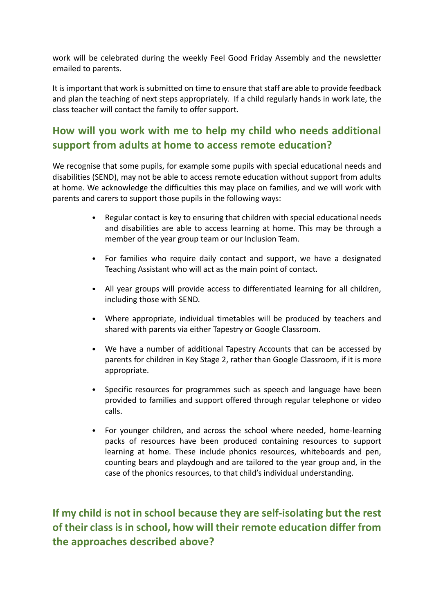work will be celebrated during the weekly Feel Good Friday Assembly and the newsletter emailed to parents.

It is important that work is submitted on time to ensure that staff are able to provide feedback and plan the teaching of next steps appropriately. If a child regularly hands in work late, the class teacher will contact the family to offer support.

# **How will you work with me to help my child who needs additional support from adults at home to access remote education?**

We recognise that some pupils, for example some pupils with special educational needs and disabilities (SEND), may not be able to access remote education without support from adults at home. We acknowledge the difficulties this may place on families, and we will work with parents and carers to support those pupils in the following ways:

- Regular contact is key to ensuring that children with special educational needs and disabilities are able to access learning at home. This may be through a member of the year group team or our Inclusion Team.
- For families who require daily contact and support, we have a designated Teaching Assistant who will act as the main point of contact.
- All year groups will provide access to differentiated learning for all children, including those with SEND.
- Where appropriate, individual timetables will be produced by teachers and shared with parents via either Tapestry or Google Classroom.
- We have a number of additional Tapestry Accounts that can be accessed by parents for children in Key Stage 2, rather than Google Classroom, if it is more appropriate.
- Specific resources for programmes such as speech and language have been provided to families and support offered through regular telephone or video calls.
- For younger children, and across the school where needed, home-learning packs of resources have been produced containing resources to support learning at home. These include phonics resources, whiteboards and pen, counting bears and playdough and are tailored to the year group and, in the case of the phonics resources, to that child's individual understanding.

**If my child is not in school because they are self-isolating but the rest of their class is in school, how will their remote education differ from the approaches described above?**